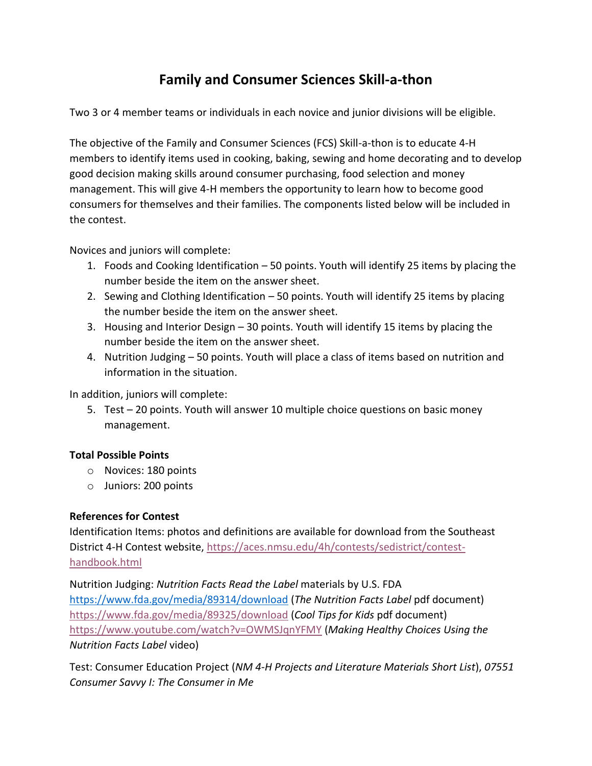# **Family and Consumer Sciences Skill-a-thon**

Two 3 or 4 member teams or individuals in each novice and junior divisions will be eligible.

The objective of the Family and Consumer Sciences (FCS) Skill-a-thon is to educate 4-H members to identify items used in cooking, baking, sewing and home decorating and to develop good decision making skills around consumer purchasing, food selection and money management. This will give 4-H members the opportunity to learn how to become good consumers for themselves and their families. The components listed below will be included in the contest.

Novices and juniors will complete:

- 1. Foods and Cooking Identification 50 points. Youth will identify 25 items by placing the number beside the item on the answer sheet.
- 2. Sewing and Clothing Identification 50 points. Youth will identify 25 items by placing the number beside the item on the answer sheet.
- 3. Housing and Interior Design 30 points. Youth will identify 15 items by placing the number beside the item on the answer sheet.
- 4. Nutrition Judging 50 points. Youth will place a class of items based on nutrition and information in the situation.

In addition, juniors will complete:

5. Test – 20 points. Youth will answer 10 multiple choice questions on basic money management.

# **Total Possible Points**

- o Novices: 180 points
- o Juniors: 200 points

#### **References for Contest**

Identification Items: photos and definitions are available for download from the Southeast District 4-H Contest website, [https://aces.nmsu.edu/4h/contests/sedistrict/contest](https://aces.nmsu.edu/4h/contests/sedistrict/contest-handbook.html)[handbook.html](https://aces.nmsu.edu/4h/contests/sedistrict/contest-handbook.html)

Nutrition Judging: *Nutrition Facts Read the Label* materials by U.S. FDA <https://www.fda.gov/media/89314/download> (*The Nutrition Facts Label* pdf document) <https://www.fda.gov/media/89325/download> (*Cool Tips for Kids* pdf document) <https://www.youtube.com/watch?v=OWMSJqnYFMY> (*Making Healthy Choices Using the Nutrition Facts Label* video)

Test: Consumer Education Project (*NM 4-H Projects and Literature Materials Short List*), *07551 Consumer Savvy I: The Consumer in Me*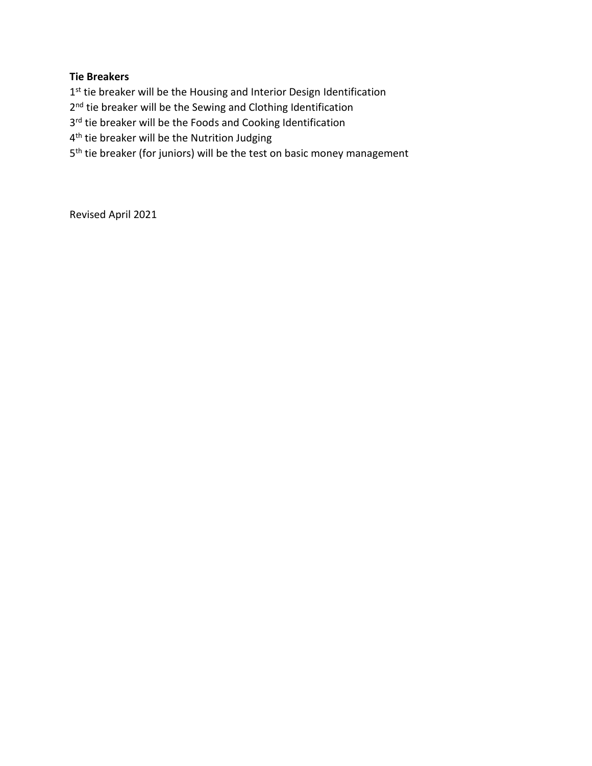### **Tie Breakers**

1<sup>st</sup> tie breaker will be the Housing and Interior Design Identification 2<sup>nd</sup> tie breaker will be the Sewing and Clothing Identification 3<sup>rd</sup> tie breaker will be the Foods and Cooking Identification 4<sup>th</sup> tie breaker will be the Nutrition Judging 5<sup>th</sup> tie breaker (for juniors) will be the test on basic money management

Revised April 2021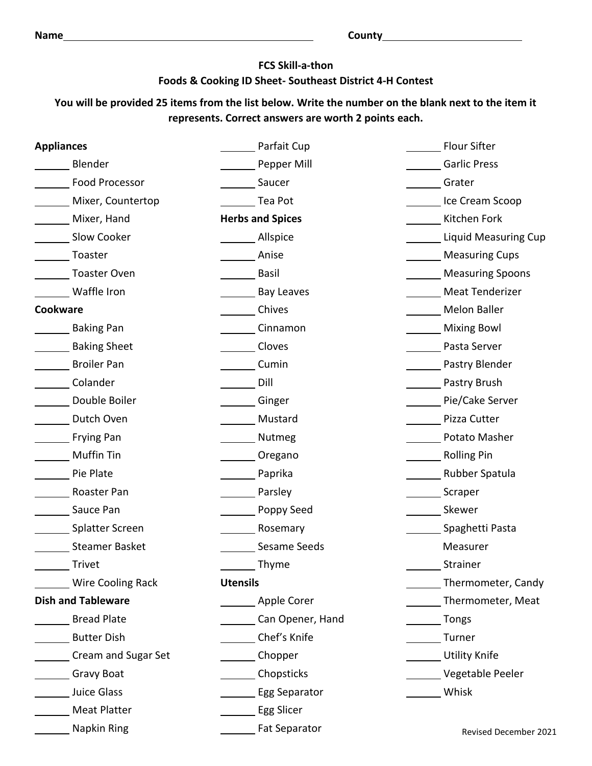# **FCS Skill-a-thon Foods & Cooking ID Sheet- Southeast District 4-H Contest**

# **You will be provided 25 items from the list below. Write the number on the blank next to the item it represents. Correct answers are worth 2 points each.**

| <b>Appliances</b>         | Parfait Cup                    | <b>Flour Sifter</b>         |
|---------------------------|--------------------------------|-----------------------------|
| Blender                   | Pepper Mill                    | <b>Garlic Press</b>         |
| <b>Food Processor</b>     | Saucer                         | Grater                      |
| Mixer, Countertop         | Tea Pot                        | Ice Cream Scoop             |
| Mixer, Hand               | <b>Herbs and Spices</b>        | Kitchen Fork                |
| Slow Cooker               | Allspice                       | <b>Liquid Measuring Cup</b> |
| Toaster                   | Anise                          | <b>Measuring Cups</b>       |
| Toaster Oven              | <b>Basil</b>                   | <b>Measuring Spoons</b>     |
| Waffle Iron               | <b>Bay Leaves</b>              | <b>Meat Tenderizer</b>      |
| Cookware                  | Chives                         | <b>Melon Baller</b>         |
| Baking Pan                | Cinnamon                       | <b>Mixing Bowl</b>          |
| Baking Sheet              | Cloves                         | Pasta Server                |
| <b>Broiler Pan</b>        | Cumin                          | Pastry Blender              |
| Colander                  | Dill                           | Pastry Brush                |
| Double Boiler             | Ginger                         | Pie/Cake Server             |
| Dutch Oven                | Mustard                        | Pizza Cutter                |
| Frying Pan                | Nutmeg                         | Potato Masher               |
| Muffin Tin                | Oregano                        | <b>Rolling Pin</b>          |
| <b>Pie Plate</b>          | Paprika                        | Rubber Spatula              |
| Roaster Pan               | Parsley                        | Scraper                     |
| Sauce Pan                 | Poppy Seed                     | Skewer                      |
| Splatter Screen           | Rosemary                       | Spaghetti Pasta             |
| <b>Steamer Basket</b>     | Sesame Seeds                   | Measurer                    |
| Trivet                    | Thyme                          | Strainer                    |
| <b>Wire Cooling Rack</b>  | <b>Utensils</b>                | Thermometer, Candy          |
| <b>Dish and Tableware</b> | Apple Corer                    | Thermometer, Meat           |
| Bread Plate               | Can Opener, Hand               | <b>Tongs</b>                |
| <b>Butter Dish</b>        | Chef's Knife                   | Turner                      |
| Cream and Sugar Set       | Chopper                        | <b>Utility Knife</b>        |
| Gravy Boat                | Chopsticks                     | Vegetable Peeler            |
| Juice Glass               | Egg Separator                  | Whisk                       |
| Meat Platter              | Egg Slicer                     |                             |
| Napkin Ring               | <b>Example 2</b> Fat Separator | Revised December 2021       |
|                           |                                |                             |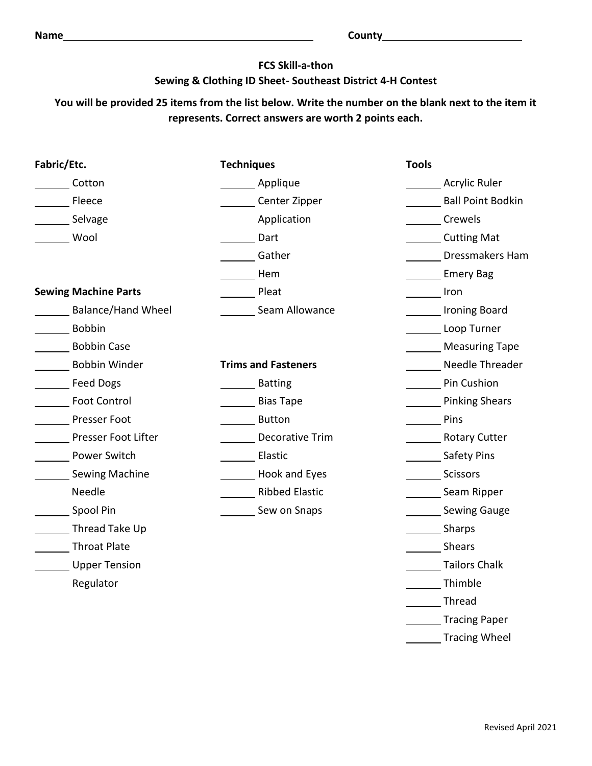### **FCS Skill-a-thon**

### **Sewing & Clothing ID Sheet- Southeast District 4-H Contest**

# **You will be provided 25 items from the list below. Write the number on the blank next to the item it represents. Correct answers are worth 2 points each.**

| Fabric/Etc.                 | <b>Techniques</b>          | <b>Tools</b>                    |
|-----------------------------|----------------------------|---------------------------------|
| Cotton                      | Applique                   | Acrylic Ruler                   |
| <b>Eleece</b>               | Center Zipper              | <b>Ball Point Bodkin</b>        |
| Selvage                     | Application                | <b>Crewels</b>                  |
| Wool                        | Dart                       | Cutting Mat                     |
|                             | Gather                     | Dressmakers Ham                 |
|                             | Hem                        | Emery Bag                       |
| <b>Sewing Machine Parts</b> | <b>Pleat</b>               | <b>Example 1</b> Fron           |
| <b>Balance/Hand Wheel</b>   | Seam Allowance             | Ironing Board                   |
| <b>Bobbin</b>               |                            | Loop Turner                     |
| Bobbin Case                 |                            | Measuring Tape                  |
| Bobbin Winder               | <b>Trims and Fasteners</b> | Needle Threader                 |
| Feed Dogs                   | <b>Batting</b>             | Pin Cushion                     |
| <b>Foot Control</b>         | <b>Bias Tape</b>           | <b>Example 2</b> Pinking Shears |
| Presser Foot                | <b>Button</b>              | Pins                            |
| Presser Foot Lifter         | <b>Decorative Trim</b>     | Rotary Cutter                   |
| Power Switch                | Lastic                     | Safety Pins                     |
| Sewing Machine              | Hook and Eyes              | Scissors                        |
| Needle                      | Ribbed Elastic             | Seam Ripper                     |
| Spool Pin                   | Sew on Snaps               | Sewing Gauge                    |
| Thread Take Up              |                            | Sharps                          |
| Throat Plate                |                            | Shears                          |
| Upper Tension               |                            | <b>Tailors Chalk</b>            |
| Regulator                   |                            | Thimble                         |
|                             |                            | Thread                          |
|                             |                            | Tracing Paper                   |
|                             |                            | <b>Tracing Wheel</b>            |